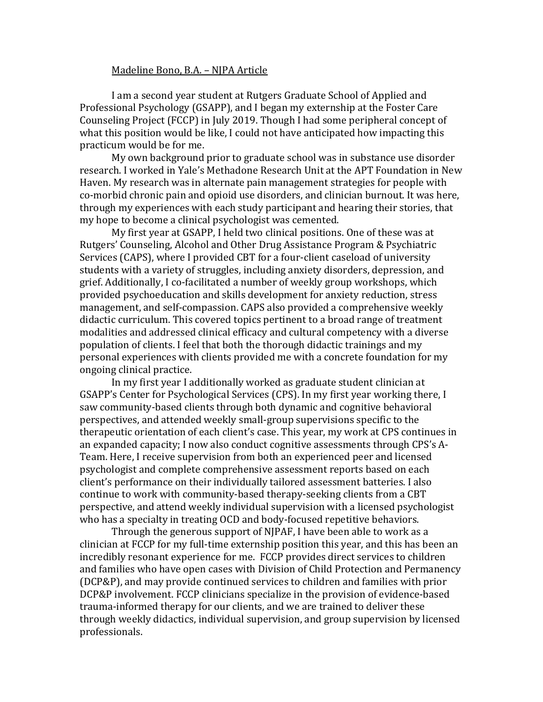## Madeline Bono, B.A. – NJPA Article

I am a second year student at Rutgers Graduate School of Applied and Professional Psychology (GSAPP), and I began my externship at the Foster Care Counseling Project (FCCP) in July 2019. Though I had some peripheral concept of what this position would be like, I could not have anticipated how impacting this practicum would be for me.

My own background prior to graduate school was in substance use disorder research. I worked in Yale's Methadone Research Unit at the APT Foundation in New Haven. My research was in alternate pain management strategies for people with co-morbid chronic pain and opioid use disorders, and clinician burnout. It was here, through my experiences with each study participant and hearing their stories, that my hope to become a clinical psychologist was cemented.

My first year at GSAPP, I held two clinical positions. One of these was at Rutgers' Counseling, Alcohol and Other Drug Assistance Program & Psychiatric Services (CAPS), where I provided CBT for a four-client caseload of university students with a variety of struggles, including anxiety disorders, depression, and grief. Additionally, I co-facilitated a number of weekly group workshops, which provided psychoeducation and skills development for anxiety reduction, stress management, and self-compassion. CAPS also provided a comprehensive weekly didactic curriculum. This covered topics pertinent to a broad range of treatment modalities and addressed clinical efficacy and cultural competency with a diverse population of clients. I feel that both the thorough didactic trainings and my personal experiences with clients provided me with a concrete foundation for my ongoing clinical practice.

In my first year I additionally worked as graduate student clinician at GSAPP's Center for Psychological Services (CPS). In my first year working there, I saw community-based clients through both dynamic and cognitive behavioral perspectives, and attended weekly small-group supervisions specific to the therapeutic orientation of each client's case. This year, my work at CPS continues in an expanded capacity; I now also conduct cognitive assessments through CPS's A-Team. Here, I receive supervision from both an experienced peer and licensed psychologist and complete comprehensive assessment reports based on each client's performance on their individually tailored assessment batteries. I also continue to work with community-based therapy-seeking clients from a CBT perspective, and attend weekly individual supervision with a licensed psychologist who has a specialty in treating OCD and body-focused repetitive behaviors.

Through the generous support of NJPAF, I have been able to work as a clinician at FCCP for my full-time externship position this year, and this has been an incredibly resonant experience for me. FCCP provides direct services to children and families who have open cases with Division of Child Protection and Permanency (DCP&P), and may provide continued services to children and families with prior DCP&P involvement. FCCP clinicians specialize in the provision of evidence-based trauma-informed therapy for our clients, and we are trained to deliver these through weekly didactics, individual supervision, and group supervision by licensed professionals.